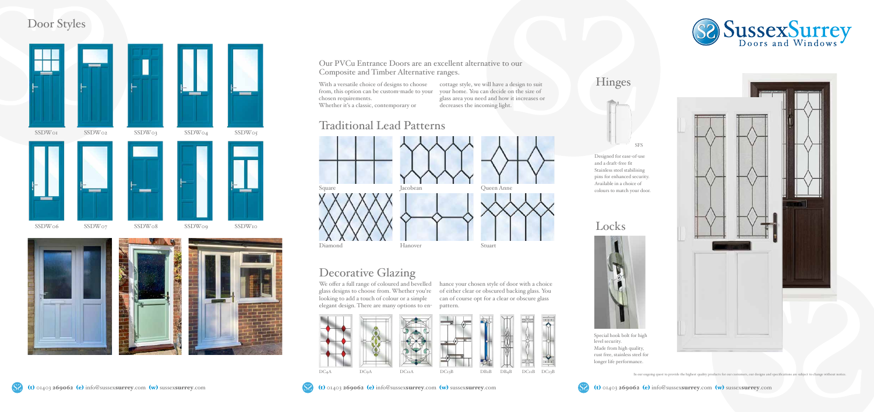We offer a full range of coloured and bevelled hance your chosen style of door with a choice glass designs to choose from. Whether you're of either clear or obscured backing glass. You looking to add a touch of colour or a simple elegant design. There are many options to en-



can of course opt for a clear or obscure glass pattern.





With a versatile choice of designs to choose cottage style, we will have a design to suit from, this option can be custom-made to your your home. You can decide on the size of chosen requirements. Whether it's a classic, contemporary or glass area you need and how it increases or decreases the incoming light.

#### Our PVCu Entrance Doors are an excellent alternative to our Composite and Timber Alternative ranges.

#### Traditional Lead Patterns

### Decorative Glazing

### Door Styles

Locks

Diamond



Hanover



Stuart



Special hook bolt for high level security. Made from high quality, rust free, stainless steel for longer life performance.





Designed for ease-of-use and a draft-free fit Stainless steel stabilising pins for enhanced security. Available in a choice of colours to match your door.

In our ongoing quest to provide the highest quality products for our customers, our designs and specifications are subject to change without notice.